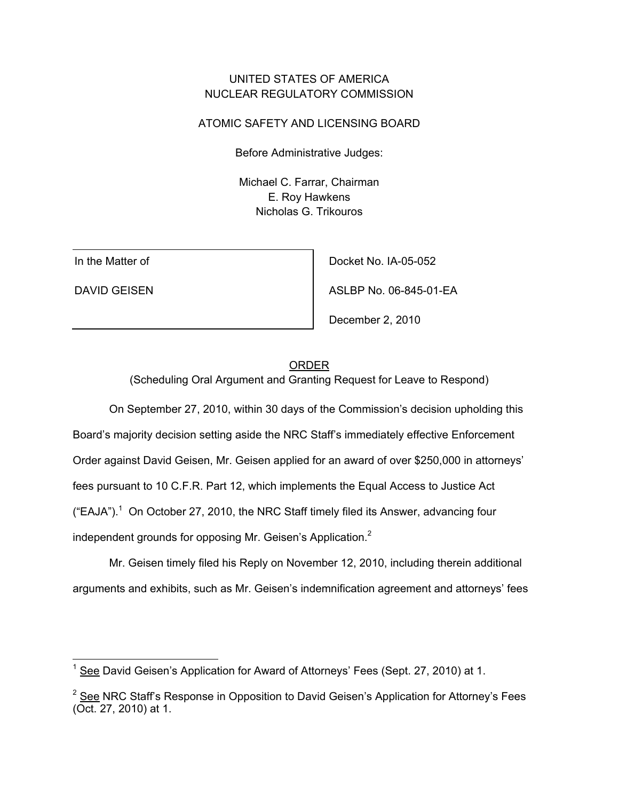# UNITED STATES OF AMERICA NUCLEAR REGULATORY COMMISSION

### ATOMIC SAFETY AND LICENSING BOARD

Before Administrative Judges:

Michael C. Farrar, Chairman E. Roy Hawkens Nicholas G. Trikouros

In the Matter of

DAVID GEISEN

Docket No. IA-05-052

ASLBP No. 06-845-01-EA

December 2, 2010

#### ORDER

(Scheduling Oral Argument and Granting Request for Leave to Respond)

 On September 27, 2010, within 30 days of the Commission's decision upholding this Board's majority decision setting aside the NRC Staff's immediately effective Enforcement Order against David Geisen, Mr. Geisen applied for an award of over \$250,000 in attorneys' fees pursuant to 10 C.F.R. Part 12, which implements the Equal Access to Justice Act  $("EAJA").<sup>1</sup>$  On October 27, 2010, the NRC Staff timely filed its Answer, advancing four independent grounds for opposing Mr. Geisen's Application.<sup>2</sup>

Mr. Geisen timely filed his Reply on November 12, 2010, including therein additional arguments and exhibits, such as Mr. Geisen's indemnification agreement and attorneys' fees

 $1$  See David Geisen's Application for Award of Attorneys' Fees (Sept. 27, 2010) at 1.

 $2$  See NRC Staff's Response in Opposition to David Geisen's Application for Attorney's Fees (Oct. 27, 2010) at 1.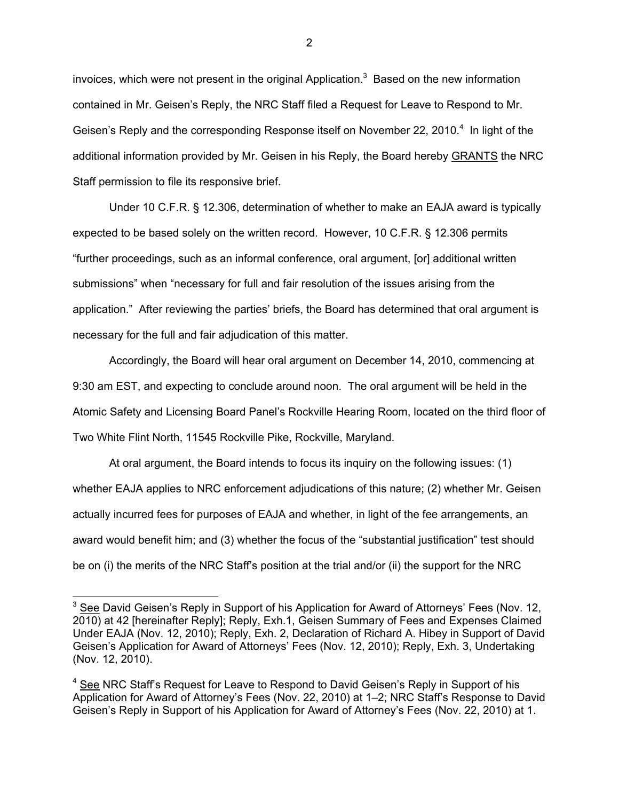invoices, which were not present in the original Application.<sup>3</sup> Based on the new information contained in Mr. Geisen's Reply, the NRC Staff filed a Request for Leave to Respond to Mr. Geisen's Reply and the corresponding Response itself on November 22, 2010.<sup>4</sup> In light of the additional information provided by Mr. Geisen in his Reply, the Board hereby GRANTS the NRC Staff permission to file its responsive brief.

Under 10 C.F.R. § 12.306, determination of whether to make an EAJA award is typically expected to be based solely on the written record. However, 10 C.F.R. § 12.306 permits "further proceedings, such as an informal conference, oral argument, [or] additional written submissions" when "necessary for full and fair resolution of the issues arising from the application." After reviewing the parties' briefs, the Board has determined that oral argument is necessary for the full and fair adjudication of this matter.

Accordingly, the Board will hear oral argument on December 14, 2010, commencing at 9:30 am EST, and expecting to conclude around noon. The oral argument will be held in the Atomic Safety and Licensing Board Panel's Rockville Hearing Room, located on the third floor of Two White Flint North, 11545 Rockville Pike, Rockville, Maryland.

At oral argument, the Board intends to focus its inquiry on the following issues: (1) whether EAJA applies to NRC enforcement adjudications of this nature; (2) whether Mr. Geisen actually incurred fees for purposes of EAJA and whether, in light of the fee arrangements, an award would benefit him; and (3) whether the focus of the "substantial justification" test should be on (i) the merits of the NRC Staff's position at the trial and/or (ii) the support for the NRC

-

2

 $3$  See David Geisen's Reply in Support of his Application for Award of Attorneys' Fees (Nov. 12, 2010) at 42 [hereinafter Reply]; Reply, Exh.1, Geisen Summary of Fees and Expenses Claimed Under EAJA (Nov. 12, 2010); Reply, Exh. 2, Declaration of Richard A. Hibey in Support of David Geisen's Application for Award of Attorneys' Fees (Nov. 12, 2010); Reply, Exh. 3, Undertaking (Nov. 12, 2010).

<sup>&</sup>lt;sup>4</sup> See NRC Staff's Request for Leave to Respond to David Geisen's Reply in Support of his Application for Award of Attorney's Fees (Nov. 22, 2010) at 1–2; NRC Staff's Response to David Geisen's Reply in Support of his Application for Award of Attorney's Fees (Nov. 22, 2010) at 1.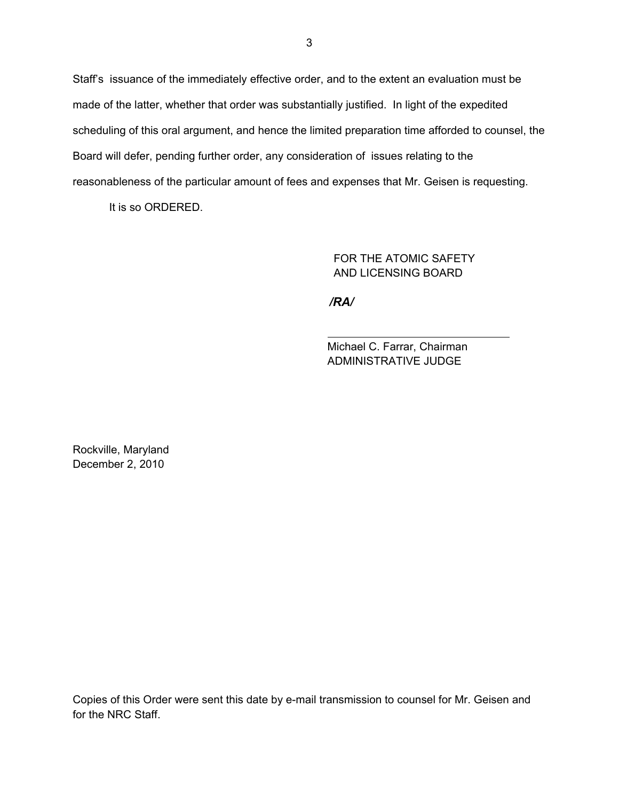Staff's issuance of the immediately effective order, and to the extent an evaluation must be made of the latter, whether that order was substantially justified. In light of the expedited scheduling of this oral argument, and hence the limited preparation time afforded to counsel, the Board will defer, pending further order, any consideration of issues relating to the reasonableness of the particular amount of fees and expenses that Mr. Geisen is requesting.

It is so ORDERED.

 FOR THE ATOMIC SAFETY AND LICENSING BOARD

*/RA/*

Michael C. Farrar, Chairman ADMINISTRATIVE JUDGE

Rockville, Maryland December 2, 2010

Copies of this Order were sent this date by e-mail transmission to counsel for Mr. Geisen and for the NRC Staff.